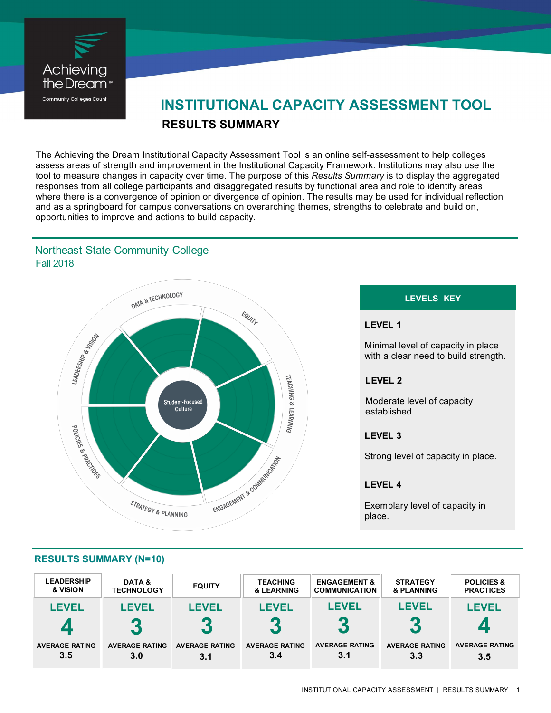

# **RESULTS SUMMARY INSTITUTIONAL CAPACITY ASSESSMENT TOOL**

The Achieving the Dream Institutional Capacity Assessment Tool is an online self-assessment to help colleges assess areas of strength and improvement in the Institutional Capacity Framework. Institutions may also use the tool to measure changes in capacity over time. The purpose of this *Results Summary* is to display the aggregated responses from all college participants and disaggregated results by functional area and role to identify areas where there is a convergence of opinion or divergence of opinion. The results may be used for individual reflection and as a springboard for campus conversations on overarching themes, strengths to celebrate and build on, opportunities to improve and actions to build capacity.

# Fall 2018 Northeast State Community College



### **LEVELS KEY**

#### **LEVEL 1**

Minimal level of capacity in place with a clear need to build strength.

### **LEVEL 2**

Moderate level of capacity established.

#### **LEVEL 3**

Strong level of capacity in place.

#### **LEVEL 4**

Exemplary level of capacity in place.

|  | <b>RESULTS SUMMARY (N=10)</b> |  |  |
|--|-------------------------------|--|--|

| <b>LEADERSHIP</b>     | DATA &                                   | <b>EQUITY</b>         | <b>TEACHING</b>       | <b>ENGAGEMENT &amp;</b>  | <b>STRATEGY</b>                | <b>POLICIES &amp;</b> |
|-----------------------|------------------------------------------|-----------------------|-----------------------|--------------------------|--------------------------------|-----------------------|
| & VISION              | <b>TECHNOLOGY</b>                        |                       | & LEARNING            | <b>COMMUNICATION</b>     | & PLANNING                     | <b>PRACTICES</b>      |
| <b>LEVEL</b>          | <b>LEVEL</b>                             | <b>LEVEL</b>          | <b>LEVEL</b>          | LEVEL                    | <b>LEVEL</b>                   | <b>LEVEL</b>          |
|                       | $\overline{\phantom{a}}$<br>$\mathbf{C}$ | 3                     | $\blacksquare$        | $\overline{\phantom{a}}$ | 40<br>$\overline{\phantom{a}}$ |                       |
| <b>AVERAGE RATING</b> | <b>AVERAGE RATING</b>                    | <b>AVERAGE RATING</b> | <b>AVERAGE RATING</b> | <b>AVERAGE RATING</b>    | <b>AVERAGE RATING</b>          | <b>AVERAGE RATING</b> |
| 3.5                   | 3.0                                      | 3.1                   | 3.4                   | 3.1                      | 3.3                            | 3.5                   |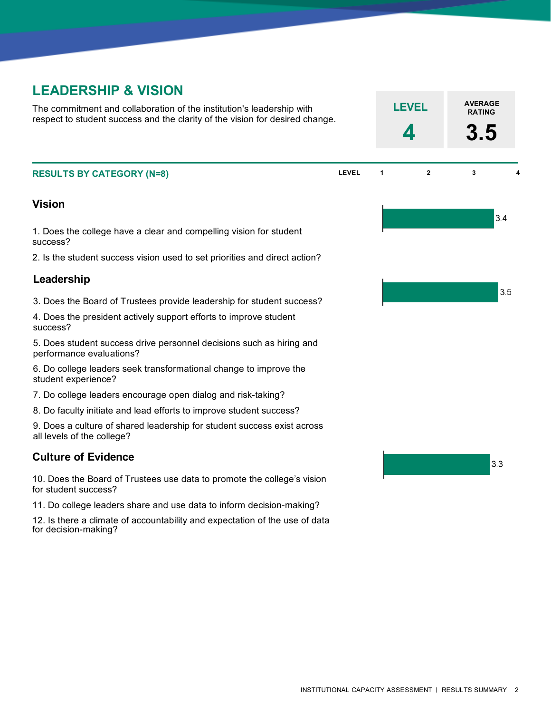# **LEADERSHIP & VISION**

The commitment and collaboration of the institution's leadership with respect to student success and the clarity of the vision for desired change.

### **Vision**

1. Does the college have a clear and compelling vision for student success?

2. Is the student success vision used to set priorities and direct action?

#### **Leadership**

3. Does the Board of Trustees provide leadership for student success?

4. Does the president actively support efforts to improve student success?

5. Does student success drive personnel decisions such as hiring and performance evaluations?

6. Do college leaders seek transformational change to improve the student experience?

7. Do college leaders encourage open dialog and risk-taking?

8. Do faculty initiate and lead efforts to improve student success?

9. Does a culture of shared leadership for student success exist across all levels of the college?

### **Culture of Evidence**

10. Does the Board of Trustees use data to promote the college's vision for student success?

11. Do college leaders share and use data to inform decision-making?

12. Is there a climate of accountability and expectation of the use of data for decision-making?



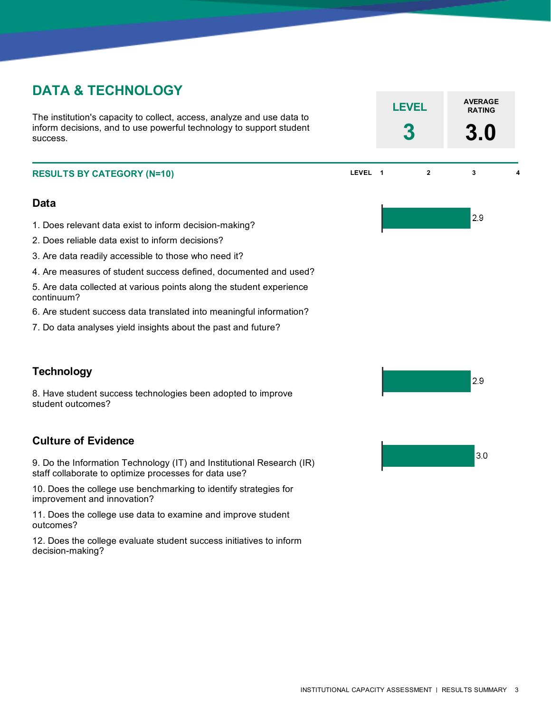# **DATA & TECHNOLOGY**

The institution's capacity to collect, access, analyze and use data to inform decisions, and to use powerful technology to support student success.

## **Data**

- 1. Does relevant data exist to inform decision-making?
- 2. Does reliable data exist to inform decisions?
- 3. Are data readily accessible to those who need it?
- 4. Are measures of student success defined, documented and used?
- 5. Are data collected at various points along the student experience continuum?
- 6. Are student success data translated into meaningful information?
- 7. Do data analyses yield insights about the past and future?

# **Technology**

8. Have student success technologies been adopted to improve student outcomes?

# **Culture of Evidence**

9. Do the Information Technology (IT) and Institutional Research (IR) staff collaborate to optimize processes for data use?

10. Does the college use benchmarking to identify strategies for improvement and innovation?

11. Does the college use data to examine and improve student outcomes?

12. Does the college evaluate student success initiatives to inform decision-making?

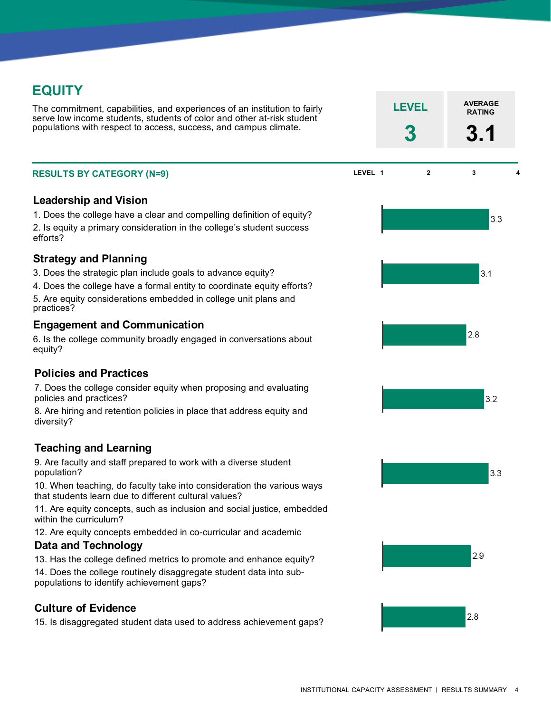# **EQUITY**

The commitment, capabilities, and experiences of an institution to fairly serve low income students, students of color and other at-risk student populations with respect to access, success, and campus climate.

### **Leadership and Vision**

1. Does the college have a clear and compelling definition of equity? 2. Is equity a primary consideration in the college's student success efforts?

## **Strategy and Planning**

- 3. Does the strategic plan include goals to advance equity?
- 4. Does the college have a formal entity to coordinate equity efforts? 5. Are equity considerations embedded in college unit plans and practices?

### **Engagement and Communication**

6. Is the college community broadly engaged in conversations about equity?

### **Policies and Practices**

7. Does the college consider equity when proposing and evaluating policies and practices?

8. Are hiring and retention policies in place that address equity and diversity?

# **Teaching and Learning**

9. Are faculty and staff prepared to work with a diverse student population?

10. When teaching, do faculty take into consideration the various ways that students learn due to different cultural values?

11. Are equity concepts, such as inclusion and social justice, embedded within the curriculum?

12. Are equity concepts embedded in co-curricular and academic

# **Data and Technology**

13. Has the college defined metrics to promote and enhance equity?

14. Does the college routinely disaggregate student data into subpopulations to identify achievement gaps?

# **Culture of Evidence**

15. Is disaggregated student data used to address achievement gaps?

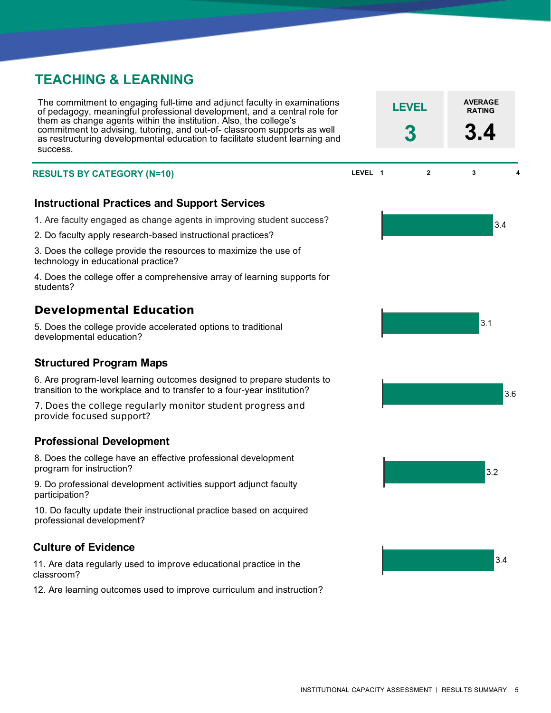# **TEACHING & LEARNING**

The commitment to engaging full-time and adjunct faculty in examinations of pedagogy, meaningful professional development, and a central role for them as change agents within the institution. Also, the college's commitment to advising, tutoring, and out-of- classroom supports as well as restructuring developmental education to facilitate student learning and success.

### **Instructional Practices and Support Services**

- 1. Are faculty engaged as change agents in improving student success?
- 2. Do faculty apply research-based instructional practices?
- 3. Does the college provide the resources to maximize the use of technology in educational practice?

4. Does the college offer a comprehensive array of learning supports for students?

# **Developmental Education**

5. Does the college provide accelerated options to traditional developmental education?

### **Structured Program Maps**

6. Are program-level learning outcomes designed to prepare students to transition to the workplace and to transfer to a four-year institution?

7. Does the college regularly monitor student progress and provide focused support?

### **Professional Development**

8. Does the college have an effective professional development program for instruction?

9. Do professional development activities support adjunct faculty participation?

10. Do faculty update their instructional practice based on acquired professional development?

### **Culture of Evidence**

11. Are data regularly used to improve educational practice in the classroom?

12. Are learning outcomes used to improve curriculum and instruction?



**AVERAGE LEVEL RATING**

**3 3.4**

 $34$ 

 $3.6$ 

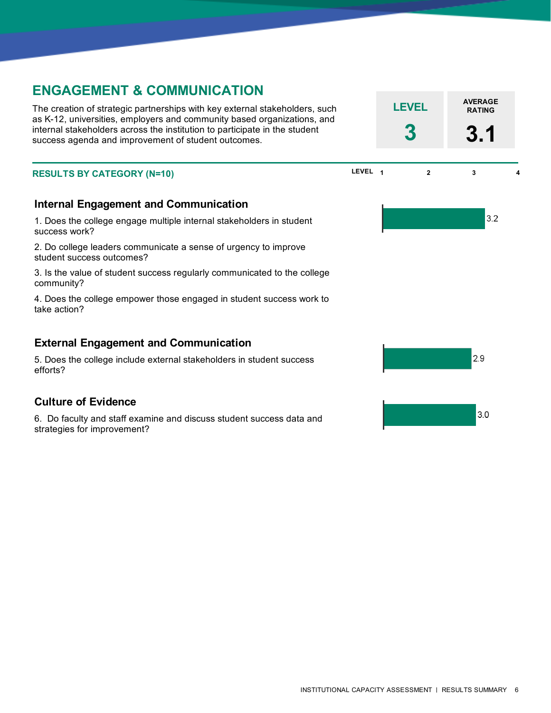# **ENGAGEMENT & COMMUNICATION**

The creation of strategic partnerships with key external stakeholders, such as K-12, universities, employers and community based organizations, and internal stakeholders across the institution to participate in the student success agenda and improvement of student outcomes.

#### **RESULTS BY CATEGORY LEVEL <sup>1</sup> <sup>2</sup> <sup>3</sup> <sup>4</sup> (N=10)**

## **Internal Engagement and Communication**

1. Does the college engage multiple internal stakeholders in student success work?

2. Do college leaders communicate a sense of urgency to improve student success outcomes?

3. Is the value of student success regularly communicated to the college community?

4. Does the college empower those engaged in student success work to take action?

## **External Engagement and Communication**

5. Does the college include external stakeholders in student success efforts?

### **Culture of Evidence**

6. Do faculty and staff examine and discuss student success data and strategies for improvement?

2.9  $30$ 

**AVERAGE LEVEL RATING**

**3 3.1**

 $3.2$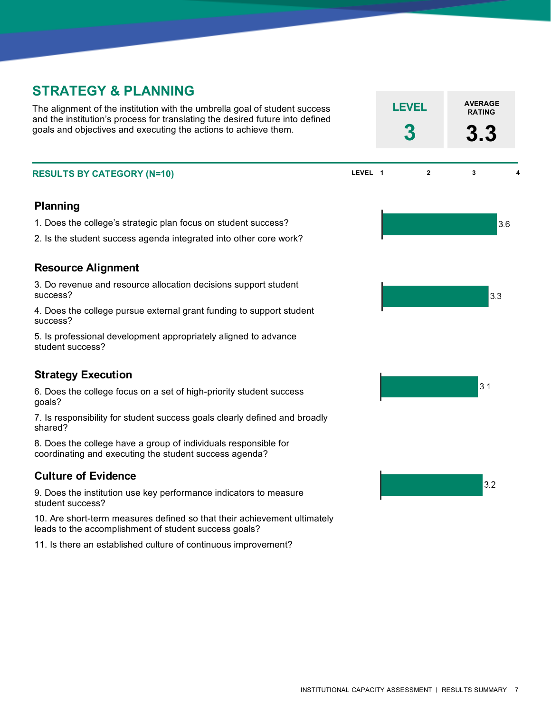# **STRATEGY & PLANNING**

The alignment of the institution with the umbrella goal of student success and the institution's process for translating the desired future into defined goals and objectives and executing the actions to achieve them.

#### **Planning**

1. Does the college's strategic plan focus on student success?

2. Is the student success agenda integrated into other core work?

## **Resource Alignment**

3. Do revenue and resource allocation decisions support student success?

4. Does the college pursue external grant funding to support student success?

5. Is professional development appropriately aligned to advance student success?

# **Strategy Execution**

6. Does the college focus on a set of high-priority student success goals?

7. Is responsibility for student success goals clearly defined and broadly shared?

8. Does the college have a group of individuals responsible for coordinating and executing the student success agenda?

### **Culture of Evidence**

9. Does the institution use key performance indicators to measure student success?

10. Are short-term measures defined so that their achievement ultimately leads to the accomplishment of student success goals?

11. Is there an established culture of continuous improvement?

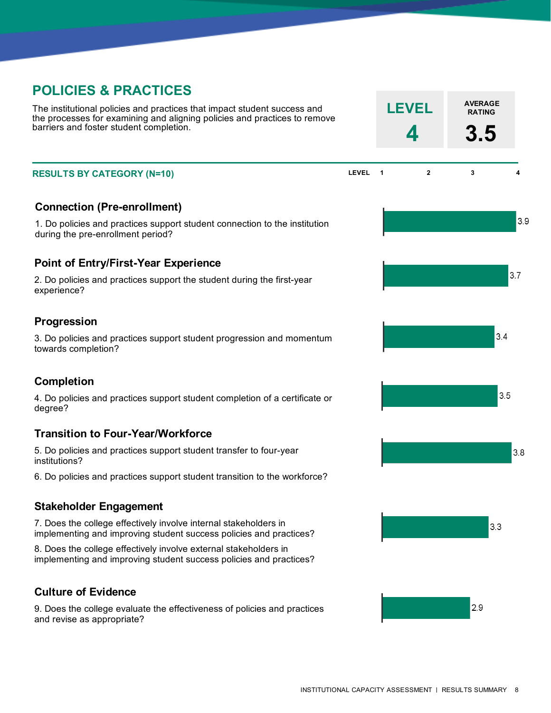# **POLICIES & PRACTICES**

The institutional policies and practices that impact student success and the processes for examining and aligning policies and practices to remove barriers and foster student completion.

## **Connection (Pre-enrollment)**

1. Do policies and practices support student connection to the institution during the pre-enrollment period?

## **Point of Entry/First-Year Experience**

2. Do policies and practices support the student during the first-year experience?

## **Progression**

3. Do policies and practices support student progression and momentum towards completion?

### **Completion**

4. Do policies and practices support student completion of a certificate or degree?

### **Transition to Four-Year/Workforce**

5. Do policies and practices support student transfer to four-year institutions?

6. Do policies and practices support student transition to the workforce?

#### **Stakeholder Engagement**

7. Does the college effectively involve internal stakeholders in implementing and improving student success policies and practices?

8. Does the college effectively involve external stakeholders in implementing and improving student success policies and practices?

### **Culture of Evidence**

9. Does the college evaluate the effectiveness of policies and practices and revise as appropriate?

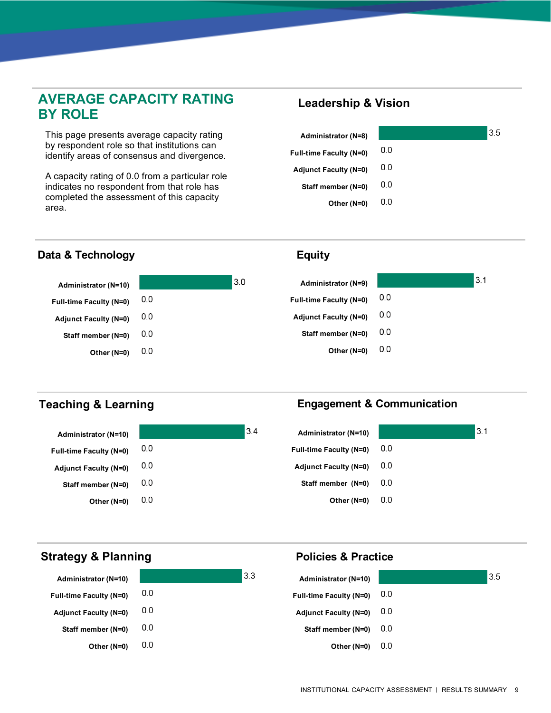# **AVERAGE CAPACITY RATING BY ROLE**

This page presents average capacity rating by respondent role so that institutions can identify areas of consensus and divergence.

A capacity rating of 0.0 from a particular role indicates no respondent from that role has completed the assessment of this capacity area.

# **Leadership & Vision**

**Equity**

| Administrator (N=8)          |     | 3.5 |
|------------------------------|-----|-----|
| Full-time Faculty (N=0)      | 0.0 |     |
| <b>Adjunct Faculty (N=0)</b> | 0.0 |     |
| Staff member (N=0)           | 0.0 |     |
| Other (N=0)                  | 0.0 |     |

 $3.1$ 

# **Data & Technology**



# **Teaching & Learning**

#### **Administrator (N=10)**  $0.0$ **Full-time Faculty (N=0)**  $0.0$ **Adjunct Faculty (N=0)**  $0.0$ **Staff member (N=0)**  $0.0$ **Other (N=0)**

# **Engagement & Communication**

**Policies & Practice**



# **Strategy & Planning**

| <b>Administrator (N=10)</b>    |     | 3.3<br><b>Administrator (N=10)</b> | 3.5 |
|--------------------------------|-----|------------------------------------|-----|
| <b>Full-time Faculty (N=0)</b> | 0.0 | <b>Full-time Faculty (N=0)</b>     | 0.0 |
| <b>Adjunct Faculty (N=0)</b>   | 0.0 | <b>Adjunct Faculty (N=0)</b>       | 0.0 |
| Staff member (N=0)             | 0.0 | Staff member (N=0)                 | 0.0 |
| Other (N=0)                    | 0.0 | Other (N=0)                        | 0.0 |
|                                |     |                                    |     |

 $3.4$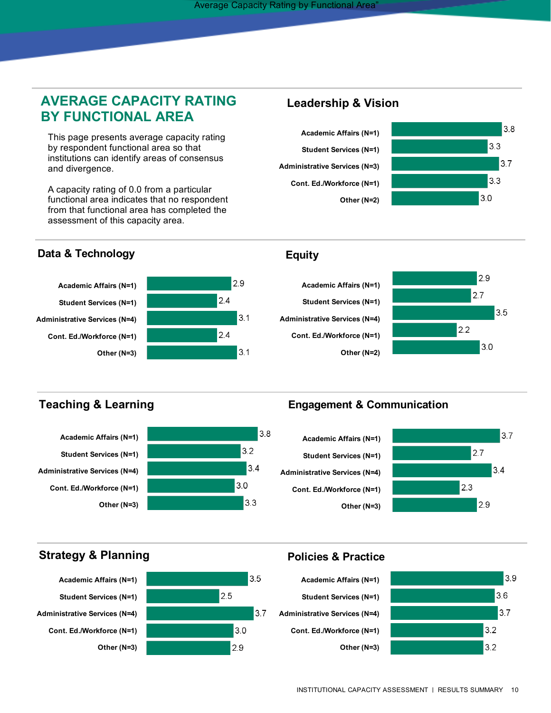# **AVERAGE CAPACITY RATING BY FUNCTIONAL AREA**

This page presents average capacity rating by respondent functional area so that institutions can identify areas of consensus and divergence.

A capacity rating of 0.0 from a particular functional area indicates that no respondent from that functional area has completed the assessment of this capacity area.

## **Data & Technology**



# **Leadership & Vision**





## **Equity**





# **Teaching & Learning**



# **Engagement & Communication**





 $3.9$ 

 $3.6$  $3.7$ 

 $3.2$ 

 $3.2$ 

# **Strategy & Planning**





## **Policies & Practice**